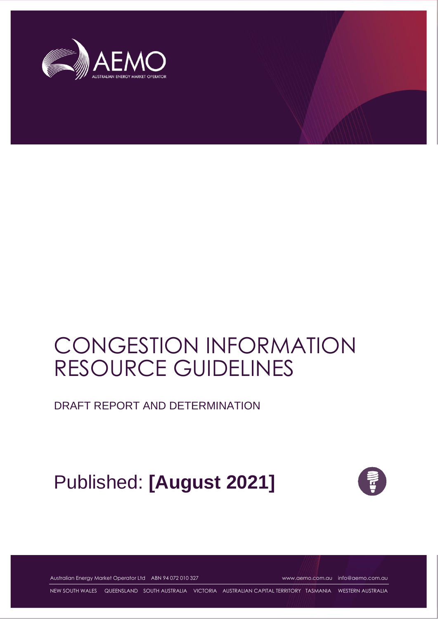

# CONGESTION INFORMATION RESOURCE GUIDELINES

DRAFT REPORT AND DETERMINATION

# Published: **[August 2021]**



Australian Energy Market Operator Ltd ABN 94 072 010 327 [www.aemo.com.au](http://www.aemo.com.au/) [info@aemo.com.au](mailto:info@aemo.com.au)

NEW SOUTH WALES QUEENSLAND SOUTH AUSTRALIA VICTORIA AUSTRALIAN CAPITAL TERRITORY TASMANIA WESTERN AUSTRALIA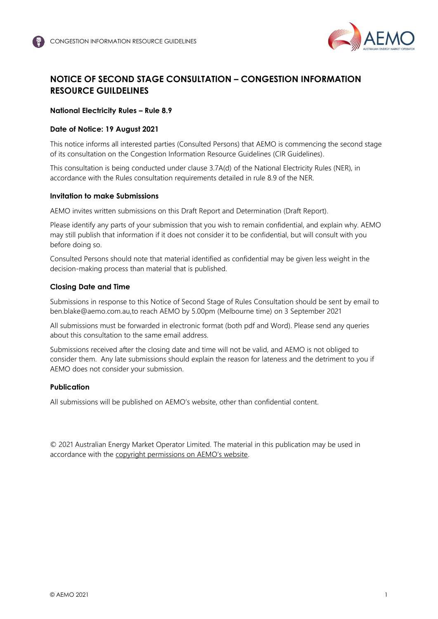

## <span id="page-1-0"></span>**NOTICE OF SECOND STAGE CONSULTATION – CONGESTION INFORMATION RESOURCE GUILDELINES**

#### **National Electricity Rules – Rule 8.9**

#### **Date of Notice: 19 August 2021**

This notice informs all interested parties (Consulted Persons) that AEMO is commencing the second stage of its consultation on the Congestion Information Resource Guidelines (CIR Guidelines).

This consultation is being conducted under clause 3.7A(d) of the National Electricity Rules (NER), in accordance with the Rules consultation requirements detailed in rule 8.9 of the NER.

#### **Invitation to make Submissions**

AEMO invites written submissions on this Draft Report and Determination (Draft Report).

Please identify any parts of your submission that you wish to remain confidential, and explain why. AEMO may still publish that information if it does not consider it to be confidential, but will consult with you before doing so.

Consulted Persons should note that material identified as confidential may be given less weight in the decision-making process than material that is published.

#### **Closing Date and Time**

Submissions in response to this Notice of Second Stage of Rules Consultation should be sent by email to [ben.blake@aemo.com.au,](mailto:ben.blake@aemo.com.au)to reach AEMO by 5.00pm (Melbourne time) on 3 September 2021

All submissions must be forwarded in electronic format (both pdf and Word). Please send any queries about this consultation to the same email address.

Submissions received after the closing date and time will not be valid, and AEMO is not obliged to consider them. Any late submissions should explain the reason for lateness and the detriment to you if AEMO does not consider your submission.

#### **Publication**

All submissions will be published on AEMO's website, other than confidential content.

© 2021 Australian Energy Market Operator Limited. The material in this publication may be used in accordance with the [copyright permissions on AEMO's website](http://aemo.com.au/Privacy_and_Legal_Notices/Copyright_Permissions_Notice).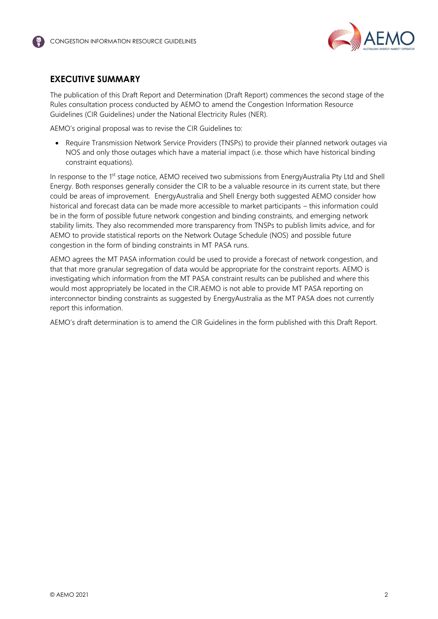

## <span id="page-2-0"></span>**EXECUTIVE SUMMARY**

The publication of this Draft Report and Determination (Draft Report) commences the second stage of the Rules consultation process conducted by AEMO to amend the Congestion Information Resource Guidelines (CIR Guidelines) under the National Electricity Rules (NER).

AEMO's original proposal was to revise the CIR Guidelines to:

• Require Transmission Network Service Providers (TNSPs) to provide their planned network outages via NOS and only those outages which have a material impact (i.e. those which have historical binding constraint equations).

In response to the 1st stage notice, AEMO received two submissions from EnergyAustralia Pty Ltd and Shell Energy. Both responses generally consider the CIR to be a valuable resource in its current state, but there could be areas of improvement. EnergyAustralia and Shell Energy both suggested AEMO consider how historical and forecast data can be made more accessible to market participants – this information could be in the form of possible future network congestion and binding constraints, and emerging network stability limits. They also recommended more transparency from TNSPs to publish limits advice, and for AEMO to provide statistical reports on the Network Outage Schedule (NOS) and possible future congestion in the form of binding constraints in MT PASA runs.

AEMO agrees the MT PASA information could be used to provide a forecast of network congestion, and that that more granular segregation of data would be appropriate for the constraint reports. AEMO is investigating which information from the MT PASA constraint results can be published and where this would most appropriately be located in the CIR.AEMO is not able to provide MT PASA reporting on interconnector binding constraints as suggested by EnergyAustralia as the MT PASA does not currently report this information.

AEMO's draft determination is to amend the CIR Guidelines in the form published with this Draft Report.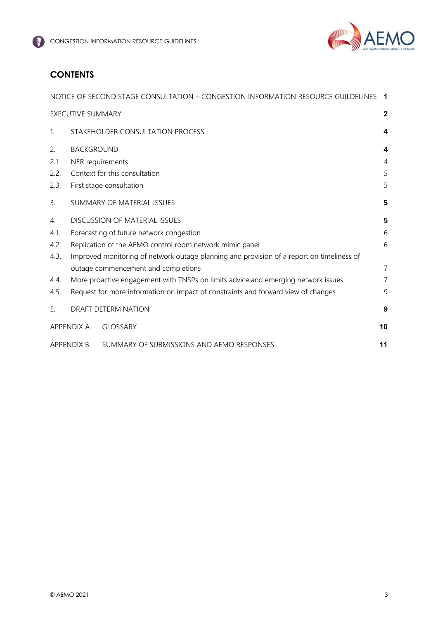

## **CONTENTS**

|                |                          | NOTICE OF SECOND STAGE CONSULTATION - CONGESTION INFORMATION RESOURCE GUILDELINES         | $\blacksquare$ |
|----------------|--------------------------|-------------------------------------------------------------------------------------------|----------------|
|                | <b>EXECUTIVE SUMMARY</b> |                                                                                           | $\mathbf{2}$   |
| $\mathbf{1}$   |                          | STAKEHOLDER CONSULTATION PROCESS                                                          | 4              |
| 2.             | <b>BACKGROUND</b>        |                                                                                           | 4              |
| 2.1.           | NER requirements         |                                                                                           | $\overline{4}$ |
| 2.2.           |                          | Context for this consultation                                                             | 5              |
| 2.3.           |                          | First stage consultation                                                                  | 5              |
| 3 <sub>1</sub> |                          | SUMMARY OF MATERIAL ISSUES                                                                | 5              |
| 4.             |                          | <b>DISCUSSION OF MATERIAL ISSUES</b>                                                      | 5              |
| 4.1.           |                          | Forecasting of future network congestion                                                  | 6              |
| 4.2.           |                          | Replication of the AEMO control room network mimic panel                                  | 6              |
| 4.3.           |                          | Improved monitoring of network outage planning and provision of a report on timeliness of |                |
|                |                          | outage commencement and completions                                                       | $\overline{7}$ |
| 4.4.           |                          | More proactive engagement with TNSPs on limits advice and emerging network issues         | $\overline{7}$ |
| 4.5.           |                          | Request for more information on impact of constraints and forward view of changes         | 9              |
| 5.             |                          | DRAFT DETERMINATION                                                                       | 9              |
|                | APPENDIX A.              | <b>GLOSSARY</b>                                                                           | 10             |
|                | APPENDIX B.              | SUMMARY OF SUBMISSIONS AND AEMO RESPONSES                                                 | 11             |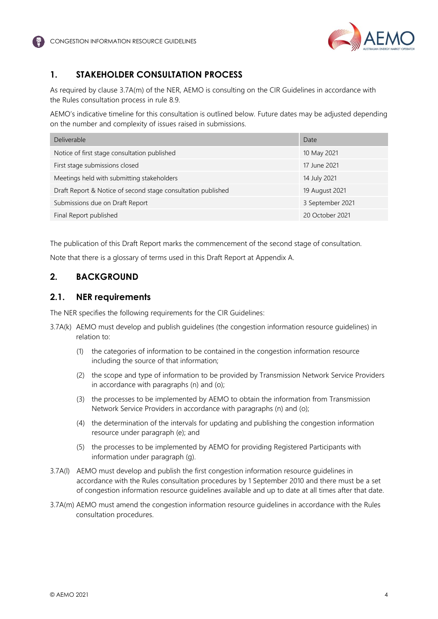



## <span id="page-4-0"></span>**1. STAKEHOLDER CONSULTATION PROCESS**

As required by clause 3.7A(m) of the NER, AEMO is consulting on the CIR Guidelines in accordance with the Rules consultation process in rule 8.9.

AEMO's indicative timeline for this consultation is outlined below. Future dates may be adjusted depending on the number and complexity of issues raised in submissions.

| <b>Deliverable</b>                                           | Date             |
|--------------------------------------------------------------|------------------|
| Notice of first stage consultation published                 | 10 May 2021      |
| First stage submissions closed                               | 17 June 2021     |
| Meetings held with submitting stakeholders                   | 14 July 2021     |
| Draft Report & Notice of second stage consultation published | 19 August 2021   |
| Submissions due on Draft Report                              | 3 September 2021 |
| Final Report published                                       | 20 October 2021  |

The publication of this Draft Report marks the commencement of the second stage of consultation.

Note that there is a glossary of terms used in this Draft Report at Appendix A.

## <span id="page-4-1"></span>**2. BACKGROUND**

#### <span id="page-4-2"></span>**2.1. NER requirements**

The NER specifies the following requirements for the CIR Guidelines:

- 3.7A(k) AEMO must develop and publish guidelines (the congestion information resource guidelines) in relation to:
	- (1) the categories of information to be contained in the congestion information resource including the source of that information;
	- (2) the scope and type of information to be provided by Transmission Network Service Providers in accordance with paragraphs (n) and (o);
	- (3) the processes to be implemented by AEMO to obtain the information from Transmission Network Service Providers in accordance with paragraphs (n) and (o);
	- (4) the determination of the intervals for updating and publishing the congestion information resource under paragraph (e); and
	- (5) the processes to be implemented by AEMO for providing Registered Participants with information under paragraph (g).
- 3.7A(l) AEMO must develop and publish the first congestion information resource guidelines in accordance with the Rules consultation procedures by 1 September 2010 and there must be a set of congestion information resource guidelines available and up to date at all times after that date.
- 3.7A(m) AEMO must amend the congestion information resource guidelines in accordance with the Rules consultation procedures.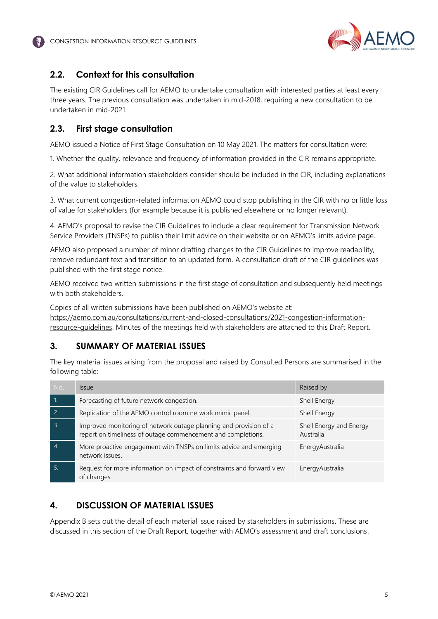

## <span id="page-5-0"></span>**2.2. Context for this consultation**

The existing CIR Guidelines call for AEMO to undertake consultation with interested parties at least every three years. The previous consultation was undertaken in mid-2018, requiring a new consultation to be undertaken in mid-2021.

## <span id="page-5-1"></span>**2.3. First stage consultation**

AEMO issued a Notice of First Stage Consultation on 10 May 2021. The matters for consultation were:

1. Whether the quality, relevance and frequency of information provided in the CIR remains appropriate.

2. What additional information stakeholders consider should be included in the CIR, including explanations of the value to stakeholders.

3. What current congestion-related information AEMO could stop publishing in the CIR with no or little loss of value for stakeholders (for example because it is published elsewhere or no longer relevant).

4. AEMO's proposal to revise the CIR Guidelines to include a clear requirement for Transmission Network Service Providers (TNSPs) to publish their limit advice on their website or on AEMO's limits advice page.

AEMO also proposed a number of minor drafting changes to the CIR Guidelines to improve readability, remove redundant text and transition to an updated form. A consultation draft of the CIR guidelines was published with the first stage notice.

AEMO received two written submissions in the first stage of consultation and subsequently held meetings with both stakeholders.

Copies of all written submissions have been published on AEMO's website at: [https://aemo.com.au/consultations/current-and-closed-consultations/2021-congestion-information](https://aemo.com.au/consultations/current-and-closed-consultations/2021-congestion-information-resource-guidelines)[resource-guidelines.](https://aemo.com.au/consultations/current-and-closed-consultations/2021-congestion-information-resource-guidelines) Minutes of the meetings held with stakeholders are attached to this Draft Report.

## <span id="page-5-2"></span>**3. SUMMARY OF MATERIAL ISSUES**

The key material issues arising from the proposal and raised by Consulted Persons are summarised in the following table:

| No.              | <i><u><b>Issue</b></u></i>                                                                                                        | Raised by                            |
|------------------|-----------------------------------------------------------------------------------------------------------------------------------|--------------------------------------|
|                  | Forecasting of future network congestion.                                                                                         | Shell Energy                         |
| $\overline{2}$ . | Replication of the AEMO control room network mimic panel.                                                                         | Shell Energy                         |
| $\overline{3}$   | Improved monitoring of network outage planning and provision of a<br>report on timeliness of outage commencement and completions. | Shell Energy and Energy<br>Australia |
|                  | More proactive engagement with TNSPs on limits advice and emerging<br>network issues.                                             | Energy Australia                     |
| 5.               | Request for more information on impact of constraints and forward view<br>of changes.                                             | Energy Australia                     |

## <span id="page-5-3"></span>**4. DISCUSSION OF MATERIAL ISSUES**

Appendix B sets out the detail of each material issue raised by stakeholders in submissions. These are discussed in this section of the Draft Report, together with AEMO's assessment and draft conclusions.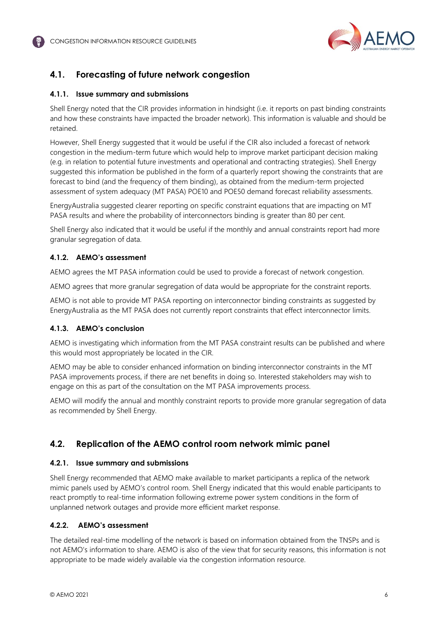

## <span id="page-6-0"></span>**4.1. Forecasting of future network congestion**

#### **4.1.1. Issue summary and submissions**

Shell Energy noted that the CIR provides information in hindsight (i.e. it reports on past binding constraints and how these constraints have impacted the broader network). This information is valuable and should be retained.

However, Shell Energy suggested that it would be useful if the CIR also included a forecast of network congestion in the medium-term future which would help to improve market participant decision making (e.g. in relation to potential future investments and operational and contracting strategies). Shell Energy suggested this information be published in the form of a quarterly report showing the constraints that are forecast to bind (and the frequency of them binding), as obtained from the medium-term projected assessment of system adequacy (MT PASA) POE10 and POE50 demand forecast reliability assessments.

EnergyAustralia suggested clearer reporting on specific constraint equations that are impacting on MT PASA results and where the probability of interconnectors binding is greater than 80 per cent.

Shell Energy also indicated that it would be useful if the monthly and annual constraints report had more granular segregation of data.

#### **4.1.2. AEMO's assessment**

AEMO agrees the MT PASA information could be used to provide a forecast of network congestion.

AEMO agrees that more granular segregation of data would be appropriate for the constraint reports.

AEMO is not able to provide MT PASA reporting on interconnector binding constraints as suggested by EnergyAustralia as the MT PASA does not currently report constraints that effect interconnector limits.

#### **4.1.3. AEMO's conclusion**

AEMO is investigating which information from the MT PASA constraint results can be published and where this would most appropriately be located in the CIR.

AEMO may be able to consider enhanced information on binding interconnector constraints in the MT PASA improvements process, if there are net benefits in doing so. Interested stakeholders may wish to engage on this as part of the consultation on the MT PASA improvements process.

AEMO will modify the annual and monthly constraint reports to provide more granular segregation of data as recommended by Shell Energy.

## <span id="page-6-1"></span>**4.2. Replication of the AEMO control room network mimic panel**

#### **4.2.1. Issue summary and submissions**

Shell Energy recommended that AEMO make available to market participants a replica of the network mimic panels used by AEMO's control room. Shell Energy indicated that this would enable participants to react promptly to real-time information following extreme power system conditions in the form of unplanned network outages and provide more efficient market response.

#### **4.2.2. AEMO's assessment**

The detailed real-time modelling of the network is based on information obtained from the TNSPs and is not AEMO's information to share. AEMO is also of the view that for security reasons, this information is not appropriate to be made widely available via the congestion information resource.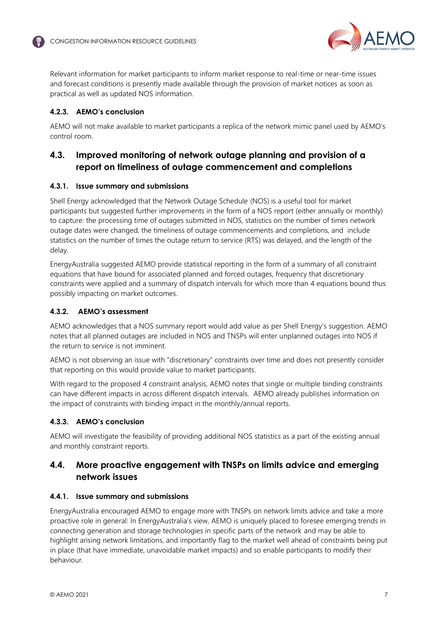

Relevant information for market participants to inform market response to real-time or near-time issues and forecast conditions is presently made available through the provision of market notices as soon as practical as well as updated NOS information.

#### **4.2.3. AEMO's conclusion**

AEMO will not make available to market participants a replica of the network mimic panel used by AEMO's control room.

## <span id="page-7-0"></span>**4.3. Improved monitoring of network outage planning and provision of a report on timeliness of outage commencement and completions**

#### **4.3.1. Issue summary and submissions**

Shell Energy acknowledged that the Network Outage Schedule (NOS) is a useful tool for market participants but suggested further improvements in the form of a NOS report (either annually or monthly) to capture: the processing time of outages submitted in NOS, statistics on the number of times network outage dates were changed, the timeliness of outage commencements and completions, and include statistics on the number of times the outage return to service (RTS) was delayed, and the length of the delay.

EnergyAustralia suggested AEMO provide statistical reporting in the form of a summary of all constraint equations that have bound for associated planned and forced outages, frequency that discretionary constraints were applied and a summary of dispatch intervals for which more than 4 equations bound thus possibly impacting on market outcomes.

#### **4.3.2. AEMO's assessment**

AEMO acknowledges that a NOS summary report would add value as per Shell Energy's suggestion. AEMO notes that all planned outages are included in NOS and TNSPs will enter unplanned outages into NOS if the return to service is not imminent.

AEMO is not observing an issue with "discretionary" constraints over time and does not presently consider that reporting on this would provide value to market participants.

With regard to the proposed 4 constraint analysis, AEMO notes that single or multiple binding constraints can have different impacts in across different dispatch intervals. AEMO already publishes information on the impact of constraints with binding impact in the monthly/annual reports.

#### **4.3.3. AEMO's conclusion**

AEMO will investigate the feasibility of providing additional NOS statistics as a part of the existing annual and monthly constraint reports.

## <span id="page-7-1"></span>**4.4. More proactive engagement with TNSPs on limits advice and emerging network issues**

#### **4.4.1. Issue summary and submissions**

EnergyAustralia encouraged AEMO to engage more with TNSPs on network limits advice and take a more proactive role in general: In EnergyAustralia's view, AEMO is uniquely placed to foresee emerging trends in connecting generation and storage technologies in specific parts of the network and may be able to highlight arising network limitations, and importantly flag to the market well ahead of constraints being put in place (that have immediate, unavoidable market impacts) and so enable participants to modify their behaviour.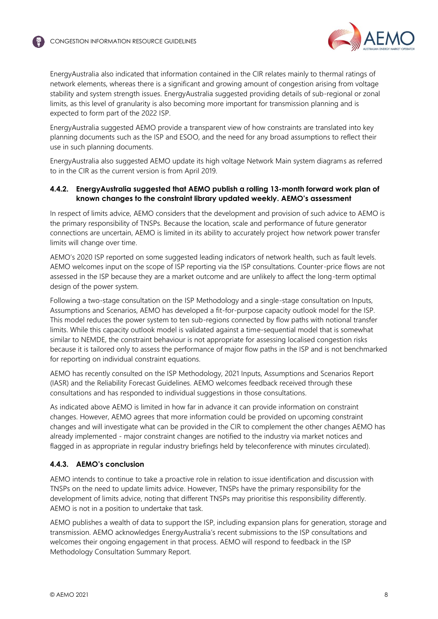

EnergyAustralia also indicated that information contained in the CIR relates mainly to thermal ratings of network elements, whereas there is a significant and growing amount of congestion arising from voltage stability and system strength issues. EnergyAustralia suggested providing details of sub-regional or zonal limits, as this level of granularity is also becoming more important for transmission planning and is expected to form part of the 2022 ISP.

EnergyAustralia suggested AEMO provide a transparent view of how constraints are translated into key planning documents such as the ISP and ESOO, and the need for any broad assumptions to reflect their use in such planning documents.

EnergyAustralia also suggested AEMO update its high voltage Network Main system diagrams as referred to in the CIR as the current version is from April 2019.

#### **4.4.2. EnergyAustralia suggested that AEMO publish a rolling 13-month forward work plan of known changes to the constraint library updated weekly. AEMO's assessment**

In respect of limits advice, AEMO considers that the development and provision of such advice to AEMO is the primary responsibility of TNSPs. Because the location, scale and performance of future generator connections are uncertain, AEMO is limited in its ability to accurately project how network power transfer limits will change over time.

AEMO's 2020 ISP reported on some suggested leading indicators of network health, such as fault levels. AEMO welcomes input on the scope of ISP reporting via the ISP consultations. Counter-price flows are not assessed in the ISP because they are a market outcome and are unlikely to affect the long-term optimal design of the power system.

Following a two-stage consultation on the ISP Methodology and a single-stage consultation on Inputs, Assumptions and Scenarios, AEMO has developed a fit-for-purpose capacity outlook model for the ISP. This model reduces the power system to ten sub-regions connected by flow paths with notional transfer limits. While this capacity outlook model is validated against a time-sequential model that is somewhat similar to NEMDE, the constraint behaviour is not appropriate for assessing localised congestion risks because it is tailored only to assess the performance of major flow paths in the ISP and is not benchmarked for reporting on individual constraint equations.

AEMO has recently consulted on the ISP Methodology, 2021 Inputs, Assumptions and Scenarios Report (IASR) and the Reliability Forecast Guidelines. AEMO welcomes feedback received through these consultations and has responded to individual suggestions in those consultations.

As indicated above AEMO is limited in how far in advance it can provide information on constraint changes. However, AEMO agrees that more information could be provided on upcoming constraint changes and will investigate what can be provided in the CIR to complement the other changes AEMO has already implemented - major constraint changes are notified to the industry via market notices and flagged in as appropriate in regular industry briefings held by teleconference with minutes circulated).

#### **4.4.3. AEMO's conclusion**

AEMO intends to continue to take a proactive role in relation to issue identification and discussion with TNSPs on the need to update limits advice. However, TNSPs have the primary responsibility for the development of limits advice, noting that different TNSPs may prioritise this responsibility differently. AEMO is not in a position to undertake that task.

AEMO publishes a wealth of data to support the ISP, including expansion plans for generation, storage and transmission. AEMO acknowledges EnergyAustralia's recent submissions to the ISP consultations and welcomes their ongoing engagement in that process. AEMO will respond to feedback in the ISP Methodology Consultation Summary Report.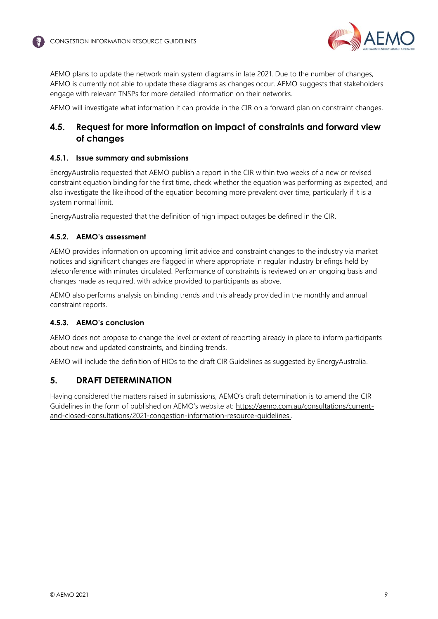

AEMO plans to update the network main system diagrams in late 2021. Due to the number of changes, AEMO is currently not able to update these diagrams as changes occur. AEMO suggests that stakeholders engage with relevant TNSPs for more detailed information on their networks.

AEMO will investigate what information it can provide in the CIR on a forward plan on constraint changes.

## <span id="page-9-0"></span>**4.5. Request for more information on impact of constraints and forward view of changes**

#### **4.5.1. Issue summary and submissions**

EnergyAustralia requested that AEMO publish a report in the CIR within two weeks of a new or revised constraint equation binding for the first time, check whether the equation was performing as expected, and also investigate the likelihood of the equation becoming more prevalent over time, particularly if it is a system normal limit.

EnergyAustralia requested that the definition of high impact outages be defined in the CIR.

#### **4.5.2. AEMO's assessment**

AEMO provides information on upcoming limit advice and constraint changes to the industry via market notices and significant changes are flagged in where appropriate in regular industry briefings held by teleconference with minutes circulated. Performance of constraints is reviewed on an ongoing basis and changes made as required, with advice provided to participants as above.

AEMO also performs analysis on binding trends and this already provided in the monthly and annual constraint reports.

#### **4.5.3. AEMO's conclusion**

AEMO does not propose to change the level or extent of reporting already in place to inform participants about new and updated constraints, and binding trends.

AEMO will include the definition of HIOs to the draft CIR Guidelines as suggested by EnergyAustralia.

### <span id="page-9-1"></span>**5. DRAFT DETERMINATION**

Having considered the matters raised in submissions, AEMO's draft determination is to amend the CIR Guidelines in the form of published on AEMO's website at: [https://aemo.com.au/consultations/current](https://aemo.com.au/consultations/current-and-closed-consultations/2021-congestion-information-resource-guidelines)[and-closed-consultations/2021-congestion-information-resource-guidelines.](https://aemo.com.au/consultations/current-and-closed-consultations/2021-congestion-information-resource-guidelines).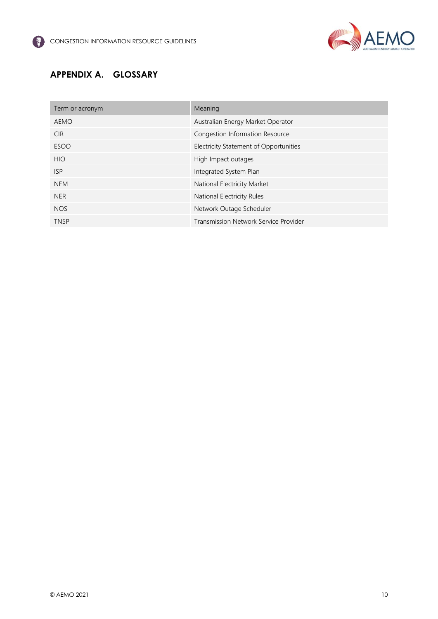

## <span id="page-10-0"></span>**APPENDIX A. GLOSSARY**

| Term or acronym | Meaning                                |
|-----------------|----------------------------------------|
| <b>AEMO</b>     | Australian Energy Market Operator      |
| <b>CIR</b>      | Congestion Information Resource        |
| <b>ESOO</b>     | Electricity Statement of Opportunities |
| <b>HIO</b>      | High Impact outages                    |
| <b>ISP</b>      | Integrated System Plan                 |
| <b>NEM</b>      | National Electricity Market            |
| <b>NER</b>      | National Electricity Rules             |
| <b>NOS</b>      | Network Outage Scheduler               |
| <b>TNSP</b>     | Transmission Network Service Provider  |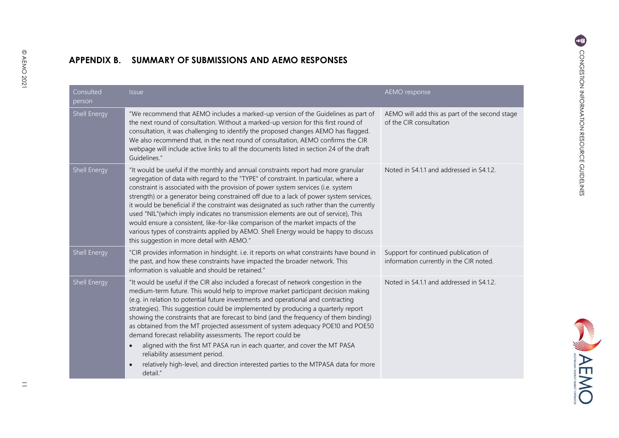**CANTA AEMO** 

## **APPENDIX B. SUMMARY OF SUBMISSIONS AND AEMO RESPONSES**

<span id="page-11-0"></span>

| Consulted<br>person | <b>Issue</b>                                                                                                                                                                                                                                                                                                                                                                                                                                                                                                                                                                                                                                                                                                                                                                                                                   | <b>AEMO</b> response                                                            |
|---------------------|--------------------------------------------------------------------------------------------------------------------------------------------------------------------------------------------------------------------------------------------------------------------------------------------------------------------------------------------------------------------------------------------------------------------------------------------------------------------------------------------------------------------------------------------------------------------------------------------------------------------------------------------------------------------------------------------------------------------------------------------------------------------------------------------------------------------------------|---------------------------------------------------------------------------------|
| Shell Energy        | "We recommend that AEMO includes a marked-up version of the Guidelines as part of<br>the next round of consultation. Without a marked-up version for this first round of<br>consultation, it was challenging to identify the proposed changes AEMO has flagged.<br>We also recommend that, in the next round of consultation, AEMO confirms the CIR<br>webpage will include active links to all the documents listed in section 24 of the draft<br>Guidelines."                                                                                                                                                                                                                                                                                                                                                                | AEMO will add this as part of the second stage<br>of the CIR consultation       |
| Shell Energy        | "It would be useful if the monthly and annual constraints report had more granular<br>segregation of data with regard to the "TYPE" of constraint. In particular, where a<br>constraint is associated with the provision of power system services (i.e. system<br>strength) or a generator being constrained off due to a lack of power system services,<br>it would be beneficial if the constraint was designated as such rather than the currently<br>used "NIL"(which imply indicates no transmission elements are out of service), This<br>would ensure a consistent, like-for-like comparison of the market impacts of the<br>various types of constraints applied by AEMO. Shell Energy would be happy to discuss<br>this suggestion in more detail with AEMO."                                                         | Noted in S4.1.1 and addressed in S4.1.2.                                        |
| Shell Energy        | "CIR provides information in hindsight. i.e. it reports on what constraints have bound in<br>the past, and how these constraints have impacted the broader network. This<br>information is valuable and should be retained."                                                                                                                                                                                                                                                                                                                                                                                                                                                                                                                                                                                                   | Support for continued publication of<br>information currently in the CIR noted. |
| Shell Energy        | "It would be useful if the CIR also included a forecast of network congestion in the<br>medium-term future. This would help to improve market participant decision making<br>(e.g. in relation to potential future investments and operational and contracting<br>strategies). This suggestion could be implemented by producing a quarterly report<br>showing the constraints that are forecast to bind (and the frequency of them binding)<br>as obtained from the MT projected assessment of system adequacy POE10 and POE50<br>demand forecast reliability assessments. The report could be<br>aligned with the first MT PASA run in each quarter, and cover the MT PASA<br>$\bullet$<br>reliability assessment period.<br>relatively high-level, and direction interested parties to the MTPASA data for more<br>detail." | Noted in S4.1.1 and addressed in S4.1.2.                                        |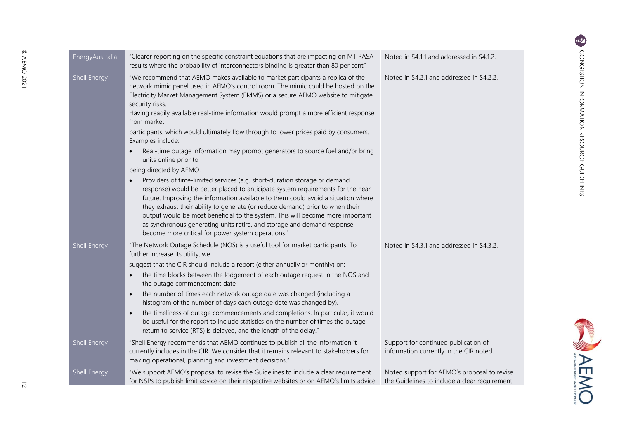| EnergyAustralia | "Clearer reporting on the specific constraint equations that are impacting on MT PASA<br>results where the probability of interconnectors binding is greater than 80 per cent"                                                                                                                                                                                                                                                                                                                                                                                                                                                                                                                                                                                                                                                                                                                                                                                                                                                                                                                                                                                                                               | Noted in S4.1.1 and addressed in S4.1.2.                                        |
|-----------------|--------------------------------------------------------------------------------------------------------------------------------------------------------------------------------------------------------------------------------------------------------------------------------------------------------------------------------------------------------------------------------------------------------------------------------------------------------------------------------------------------------------------------------------------------------------------------------------------------------------------------------------------------------------------------------------------------------------------------------------------------------------------------------------------------------------------------------------------------------------------------------------------------------------------------------------------------------------------------------------------------------------------------------------------------------------------------------------------------------------------------------------------------------------------------------------------------------------|---------------------------------------------------------------------------------|
| Shell Energy    | "We recommend that AEMO makes available to market participants a replica of the<br>network mimic panel used in AEMO's control room. The mimic could be hosted on the<br>Electricity Market Management System (EMMS) or a secure AEMO website to mitigate<br>security risks.<br>Having readily available real-time information would prompt a more efficient response<br>from market<br>participants, which would ultimately flow through to lower prices paid by consumers.<br>Examples include:<br>Real-time outage information may prompt generators to source fuel and/or bring<br>$\bullet$<br>units online prior to<br>being directed by AEMO.<br>Providers of time-limited services (e.g. short-duration storage or demand<br>response) would be better placed to anticipate system requirements for the near<br>future. Improving the information available to them could avoid a situation where<br>they exhaust their ability to generate (or reduce demand) prior to when their<br>output would be most beneficial to the system. This will become more important<br>as synchronous generating units retire, and storage and demand response<br>become more critical for power system operations." | Noted in S4.2.1 and addressed in S4.2.2.                                        |
| Shell Energy    | "The Network Outage Schedule (NOS) is a useful tool for market participants. To<br>further increase its utility, we<br>suggest that the CIR should include a report (either annually or monthly) on:<br>the time blocks between the lodgement of each outage request in the NOS and<br>$\bullet$<br>the outage commencement date<br>the number of times each network outage date was changed (including a<br>$\bullet$<br>histogram of the number of days each outage date was changed by).<br>the timeliness of outage commencements and completions. In particular, it would<br>$\bullet$<br>be useful for the report to include statistics on the number of times the outage<br>return to service (RTS) is delayed, and the length of the delay."                                                                                                                                                                                                                                                                                                                                                                                                                                                         | Noted in S4.3.1 and addressed in S4.3.2.                                        |
| Shell Energy    | "Shell Energy recommends that AEMO continues to publish all the information it<br>currently includes in the CIR. We consider that it remains relevant to stakeholders for<br>making operational, planning and investment decisions."                                                                                                                                                                                                                                                                                                                                                                                                                                                                                                                                                                                                                                                                                                                                                                                                                                                                                                                                                                         | Support for continued publication of<br>information currently in the CIR noted. |

being direct

| Providers of time-limited services (e.g. short-duration<br>response) would be better placed to anticipate syster<br>future. Improving the information available to them o<br>they exhaust their ability to generate (or reduce dema<br>output would be most beneficial to the system. This v<br>as synchronous generating units retire, and storage a<br>become more critical for power system operations."                                                                                                                               |
|-------------------------------------------------------------------------------------------------------------------------------------------------------------------------------------------------------------------------------------------------------------------------------------------------------------------------------------------------------------------------------------------------------------------------------------------------------------------------------------------------------------------------------------------|
| "The Network Outage Schedule (NOS) is a useful tool for i<br>further increase its utility, we<br>suggest that the CIR should include a report (either annua<br>the time blocks between the lodgement of each outa<br>the outage commencement date<br>the number of times each network outage date was o<br>histogram of the number of days each outage date w<br>the timeliness of outage commencements and compl<br>be useful for the report to include statistics on the nu<br>return to service (RTS) is delayed, and the length of th |
|                                                                                                                                                                                                                                                                                                                                                                                                                                                                                                                                           |

|              | return to service (RTS) is delayed, and the length of the delay."                                                                                                                                                                    |                                                                                              |
|--------------|--------------------------------------------------------------------------------------------------------------------------------------------------------------------------------------------------------------------------------------|----------------------------------------------------------------------------------------------|
| Shell Energy | "Shell Energy recommends that AEMO continues to publish all the information it<br>currently includes in the CIR. We consider that it remains relevant to stakeholders for<br>making operational, planning and investment decisions." | Support for continued publication of<br>information currently in the CIR noted.              |
| Shell Energy | "We support AEMO's proposal to revise the Guidelines to include a clear requirement<br>for NSPs to publish limit advice on their respective websites or on AEMO's limits advice                                                      | Noted support for AEMO's proposal to revise<br>the Guidelines to include a clear requirement |

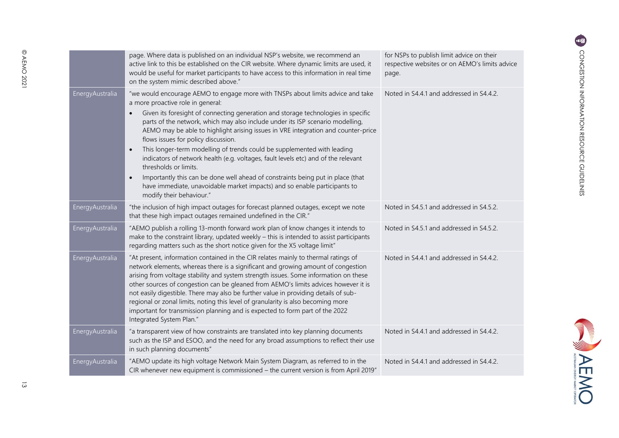|                         | page. Where data is published on an individual NSP's website, we recommend an<br>active link to this be established on the CIR website. Where dynamic limits are used, it<br>would be useful for market participants to have access to this information in real time<br>on the system mimic described above."                                                                                                                                                                                                                                                                                                                                                                                                                                                                                                                                        | for NSPs to publish limit advice on their<br>respective websites or on AEMO's limits advice<br>page. |
|-------------------------|------------------------------------------------------------------------------------------------------------------------------------------------------------------------------------------------------------------------------------------------------------------------------------------------------------------------------------------------------------------------------------------------------------------------------------------------------------------------------------------------------------------------------------------------------------------------------------------------------------------------------------------------------------------------------------------------------------------------------------------------------------------------------------------------------------------------------------------------------|------------------------------------------------------------------------------------------------------|
| <b>EnergyAustralia</b>  | "we would encourage AEMO to engage more with TNSPs about limits advice and take<br>a more proactive role in general:<br>Given its foresight of connecting generation and storage technologies in specific<br>$\bullet$<br>parts of the network, which may also include under its ISP scenario modelling,<br>AEMO may be able to highlight arising issues in VRE integration and counter-price<br>flows issues for policy discussion.<br>This longer-term modelling of trends could be supplemented with leading<br>$\bullet$<br>indicators of network health (e.g. voltages, fault levels etc) and of the relevant<br>thresholds or limits.<br>Importantly this can be done well ahead of constraints being put in place (that<br>$\bullet$<br>have immediate, unavoidable market impacts) and so enable participants to<br>modify their behaviour." | Noted in S4.4.1 and addressed in S4.4.2.                                                             |
| <b>Energy Australia</b> | "the inclusion of high impact outages for forecast planned outages, except we note<br>that these high impact outages remained undefined in the CIR."                                                                                                                                                                                                                                                                                                                                                                                                                                                                                                                                                                                                                                                                                                 | Noted in S4.5.1 and addressed in S4.5.2.                                                             |
| EnergyAustralia         | "AEMO publish a rolling 13-month forward work plan of know changes it intends to<br>make to the constraint library, updated weekly - this is intended to assist participants<br>regarding matters such as the short notice given for the X5 voltage limit"                                                                                                                                                                                                                                                                                                                                                                                                                                                                                                                                                                                           | Noted in S4.5.1 and addressed in S4.5.2.                                                             |
| Energy Australia        | "At present, information contained in the CIR relates mainly to thermal ratings of<br>network elements, whereas there is a significant and growing amount of congestion<br>arising from voltage stability and system strength issues. Some information on these<br>other sources of congestion can be gleaned from AEMO's limits advices however it is<br>not easily digestible. There may also be further value in providing details of sub-<br>regional or zonal limits, noting this level of granularity is also becoming more<br>important for transmission planning and is expected to form part of the 2022<br>Integrated System Plan."                                                                                                                                                                                                        | Noted in S4.4.1 and addressed in S4.4.2.                                                             |
| EnergyAustralia         | "a transparent view of how constraints are translated into key planning documents<br>such as the ISP and ESOO, and the need for any broad assumptions to reflect their use<br>in such planning documents"                                                                                                                                                                                                                                                                                                                                                                                                                                                                                                                                                                                                                                            | Noted in S4.4.1 and addressed in S4.4.2.                                                             |
| Energy Australia        | "AEMO update its high voltage Network Main System Diagram, as referred to in the<br>CIR whenever new equipment is commissioned - the current version is from April 2019"                                                                                                                                                                                                                                                                                                                                                                                                                                                                                                                                                                                                                                                                             | Noted in S4.4.1 and addressed in S4.4.2.                                                             |

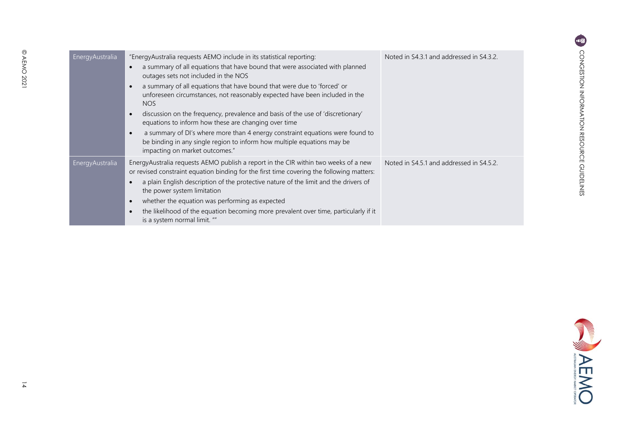| Energy Australia | "EnergyAustralia requests AEMO include in its statistical reporting:<br>a summary of all equations that have bound that were associated with planned<br>$\bullet$<br>outages sets not included in the NOS<br>a summary of all equations that have bound that were due to 'forced' or<br>$\bullet$<br>unforeseen circumstances, not reasonably expected have been included in the<br><b>NOS</b><br>discussion on the frequency, prevalence and basis of the use of 'discretionary'<br>$\bullet$<br>equations to inform how these are changing over time<br>a summary of DI's where more than 4 energy constraint equations were found to<br>$\bullet$<br>be binding in any single region to inform how multiple equations may be<br>impacting on market outcomes." | Noted in S4.3.1 and addressed in S4.3.2. |
|------------------|-------------------------------------------------------------------------------------------------------------------------------------------------------------------------------------------------------------------------------------------------------------------------------------------------------------------------------------------------------------------------------------------------------------------------------------------------------------------------------------------------------------------------------------------------------------------------------------------------------------------------------------------------------------------------------------------------------------------------------------------------------------------|------------------------------------------|
| EnergyAustralia  | EnergyAustralia requests AEMO publish a report in the CIR within two weeks of a new<br>or revised constraint equation binding for the first time covering the following matters:<br>a plain English description of the protective nature of the limit and the drivers of<br>the power system limitation<br>whether the equation was performing as expected<br>$\bullet$<br>the likelihood of the equation becoming more prevalent over time, particularly if it<br>$\bullet$<br>is a system normal limit. ""                                                                                                                                                                                                                                                      | Noted in S4.5.1 and addressed in S4.5.2. |

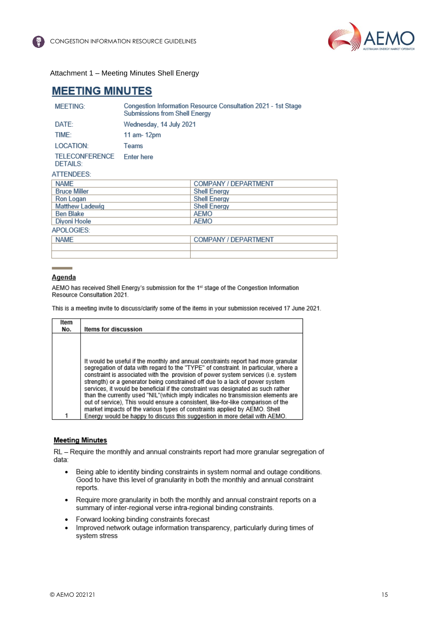

Attachment 1 – Meeting Minutes Shell Energy

## **MEETING MINUTES**

| <b>MEETING:</b>                   | Submissions from Shell Energy | Congestion Information Resource Consultation 2021 - 1st Stage |  |
|-----------------------------------|-------------------------------|---------------------------------------------------------------|--|
| DATE:                             | Wednesday, 14 July 2021       |                                                               |  |
| TIME:                             | 11 am- 12pm                   |                                                               |  |
| LOCATION:                         | Teams                         |                                                               |  |
| <b>TELECONFERENCE</b><br>DETAILS: | <b>Enter here</b>             |                                                               |  |
| ATTENDEES:                        |                               |                                                               |  |
| <b>NAMF</b>                       |                               | <b>COMPANY / DEPARTMENT</b>                                   |  |
| <b>Bruce Miller</b>               |                               | <b>Shell Energy</b>                                           |  |
| Ron Logan                         |                               | <b>Shell Energy</b>                                           |  |
| <b>Matthew Ladewig</b>            |                               | <b>Shell Energy</b>                                           |  |
| <b>Ben Blake</b>                  |                               | AEMO                                                          |  |
| Diyoni Hoole                      |                               | AEMO                                                          |  |
| APOLOGIES:                        |                               |                                                               |  |
| <b>NAME</b>                       |                               | COMPANY / DEPARTMENT                                          |  |
|                                   |                               |                                                               |  |

#### Agenda

AEMO has received Shell Energy's submission for the 1st stage of the Congestion Information Resource Consultation 2021.

This is a meeting invite to discuss/clarify some of the items in your submission received 17 June 2021.

| Item<br>No. | Items for discussion                                                                                                                                                                                                                                                                                                                                                                                                                                                                                                                                                                                      |
|-------------|-----------------------------------------------------------------------------------------------------------------------------------------------------------------------------------------------------------------------------------------------------------------------------------------------------------------------------------------------------------------------------------------------------------------------------------------------------------------------------------------------------------------------------------------------------------------------------------------------------------|
|             |                                                                                                                                                                                                                                                                                                                                                                                                                                                                                                                                                                                                           |
|             |                                                                                                                                                                                                                                                                                                                                                                                                                                                                                                                                                                                                           |
|             | It would be useful if the monthly and annual constraints report had more granular<br>segregation of data with regard to the "TYPE" of constraint. In particular, where a<br>constraint is associated with the provision of power system services (i.e. system<br>strength) or a generator being constrained off due to a lack of power system<br>services, it would be beneficial if the constraint was designated as such rather<br>than the currently used "NIL"(which imply indicates no transmission elements are<br>out of service), This would ensure a consistent, like-for-like comparison of the |
|             | market impacts of the various types of constraints applied by AEMO. Shell                                                                                                                                                                                                                                                                                                                                                                                                                                                                                                                                 |
|             | Energy would be happy to discuss this suggestion in more detail with AEMO.                                                                                                                                                                                                                                                                                                                                                                                                                                                                                                                                |

#### **Meeting Minutes**

RL - Require the monthly and annual constraints report had more granular segregation of data:

- Being able to identity binding constraints in system normal and outage conditions.  $\bullet$ Good to have this level of granularity in both the monthly and annual constraint reports.
- Require more granularity in both the monthly and annual constraint reports on a  $\bullet$ summary of inter-regional verse intra-regional binding constraints.
- Forward looking binding constraints forecast
- Improved network outage information transparency, particularly during times of  $\bullet$ system stress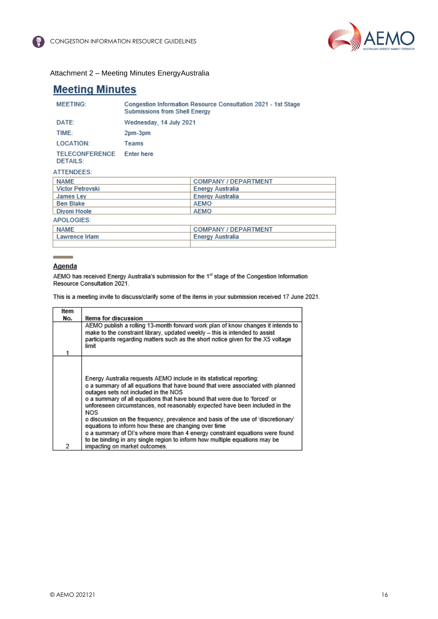

#### Attachment 2 – Meeting Minutes EnergyAustralia

## **Meeting Minutes**

| <b>MEETING:</b>            | Congestion Information Resource Consultation 2021 - 1st Stage<br>Submissions from Shell Energy |
|----------------------------|------------------------------------------------------------------------------------------------|
| DATE:                      | Wednesday, 14 July 2021                                                                        |
| TIME:                      | 2pm-3pm                                                                                        |
| LOCATION:                  | Teams                                                                                          |
| TELECONFERENCE<br>DETAILS: | <b>Enter here</b>                                                                              |

#### ATTENDEES:

| NAME             | <b>COMPANY / DEPARTMENT</b> |
|------------------|-----------------------------|
| Victor Petrovski | Energy Australia            |
| James Ley        | <b>Energy Australia</b>     |
| <b>Ben Blake</b> | AEMO                        |
| Diyoni Hoole     | AEMO                        |
| APOLOGIES:       |                             |
| <b>NAME</b>      | <b>COMPANY / DEPARTMENT</b> |
| Lawrence Irlam   | Energy Australia            |
|                  |                             |

#### Agenda

AEMO has received Energy Australia's submission for the 1st stage of the Congestion Information Resource Consultation 2021.

This is a meeting invite to discuss/clarify some of the items in your submission received 17 June 2021.

| Item |                                                                                                                                                                                                                                                                                                                                                                                                                                                                                                                                                                                                                                                                                                               |
|------|---------------------------------------------------------------------------------------------------------------------------------------------------------------------------------------------------------------------------------------------------------------------------------------------------------------------------------------------------------------------------------------------------------------------------------------------------------------------------------------------------------------------------------------------------------------------------------------------------------------------------------------------------------------------------------------------------------------|
| No.  | Items for discussion                                                                                                                                                                                                                                                                                                                                                                                                                                                                                                                                                                                                                                                                                          |
|      | AEMO publish a rolling 13-month forward work plan of know changes it intends to<br>make to the constraint library, updated weekly - this is intended to assist<br>participants regarding matters such as the short notice given for the X5 voltage<br>limit                                                                                                                                                                                                                                                                                                                                                                                                                                                   |
| 2    | Energy Australia requests AEMO include in its statistical reporting:<br>o a summary of all equations that have bound that were associated with planned<br>outages sets not included in the NOS<br>o a summary of all equations that have bound that were due to 'forced' or<br>unforeseen circumstances, not reasonably expected have been included in the<br>NOS<br>o discussion on the frequency, prevalence and basis of the use of 'discretionary'<br>equations to inform how these are changing over time<br>o a summary of DI's where more than 4 energy constraint equations were found<br>to be binding in any single region to inform how multiple equations may be<br>impacting on market outcomes. |